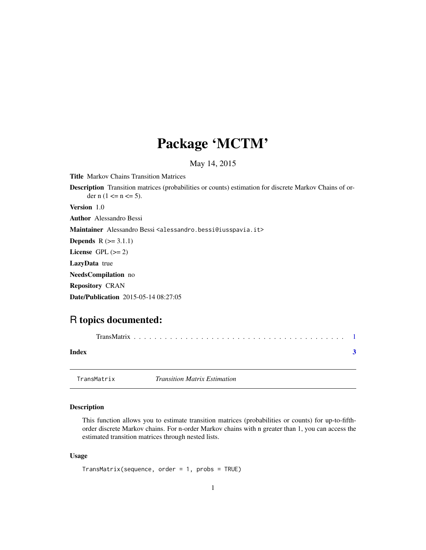## <span id="page-0-0"></span>Package 'MCTM'

#### May 14, 2015

Title Markov Chains Transition Matrices

Description Transition matrices (probabilities or counts) estimation for discrete Markov Chains of order n  $(1 \le n \le 5)$ .

Version 1.0

Author Alessandro Bessi

Maintainer Alessandro Bessi <alessandro.bessi@iusspavia.it>

**Depends**  $R$  ( $>= 3.1.1$ )

License GPL  $(>= 2)$ 

LazyData true

NeedsCompilation no

Repository CRAN

Date/Publication 2015-05-14 08:27:05

### R topics documented:

| Index |  |
|-------|--|
|       |  |

TransMatrix *Transition Matrix Estimation*

#### Description

This function allows you to estimate transition matrices (probabilities or counts) for up-to-fifthorder discrete Markov chains. For n-order Markov chains with n greater than 1, you can access the estimated transition matrices through nested lists.

#### Usage

```
TransMatrix(sequence, order = 1, probs = TRUE)
```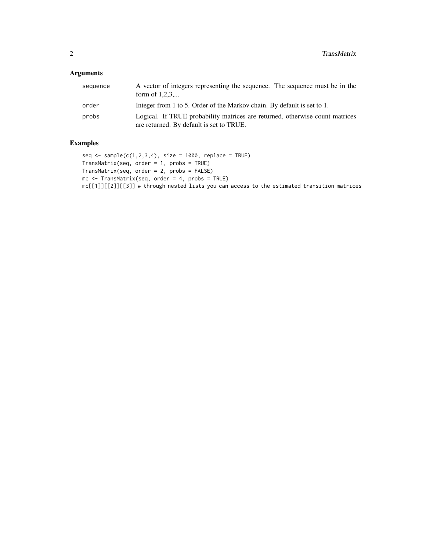#### Arguments

| sequence | A vector of integers representing the sequence. The sequence must be in the<br>form of $1,2,3,$                          |
|----------|--------------------------------------------------------------------------------------------------------------------------|
| order    | Integer from 1 to 5. Order of the Markov chain. By default is set to 1.                                                  |
| probs    | Logical. If TRUE probability matrices are returned, otherwise count matrices<br>are returned. By default is set to TRUE. |

#### Examples

```
seq \le sample(c(1,2,3,4), size = 1000, replace = TRUE)
TransMatrix(seq, order = 1, probs = TRUE)
TransMatrix(seq, order = 2, probs = FALSE)
mc <- TransMatrix(seq, order = 4, probs = TRUE)
mc[[1]][[2]][[3]] # through nested lists you can access to the estimated transition matrices
```